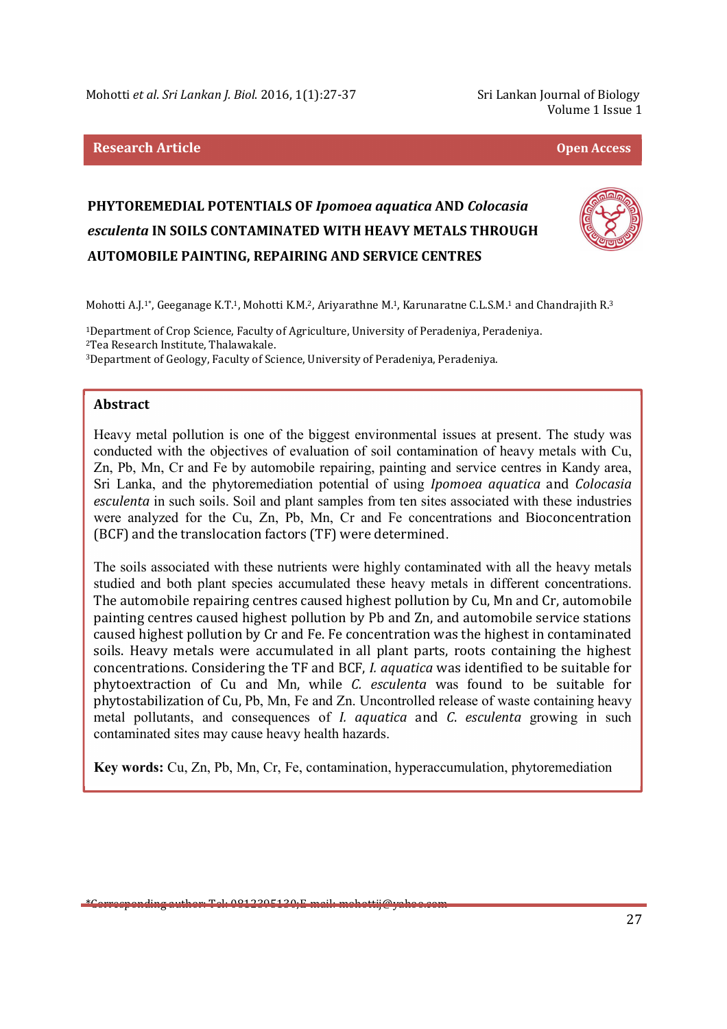# **Research Article Open Access**

Volume 1 Issue 1

# **PHYTOREMEDIAL POTENTIALS OF** *Ipomoea aquatica* **AND** *Colocasia esculenta* **IN SOILS CONTAMINATED WITH HEAVY METALS THROUGH AUTOMOBILE PAINTING, REPAIRING AND SERVICE CENTRES**



Mohotti A.J.1\*, Geeganage K.T.1, Mohotti K.M.2, Ariyarathne M.1, Karunaratne C.L.S.M.1 and Chandrajith R.<sup>3</sup>

<sup>1</sup>Department of Crop Science, Faculty of Agriculture, University of Peradeniya, Peradeniya. <sup>2</sup>Tea Research Institute, Thalawakale. <sup>3</sup>Department of Geology, Faculty of Science, University of Peradeniya, Peradeniya.

#### **Abstract**

Heavy metal pollution is one of the biggest environmental issues at present. The study was conducted with the objectives of evaluation of soil contamination of heavy metals with Cu, Zn, Pb, Mn, Cr and Fe by automobile repairing, painting and service centres in Kandy area, Sri Lanka, and the phytoremediation potential of using *Ipomoea aquatica* and *Colocasia esculenta* in such soils. Soil and plant samples from ten sites associated with these industries were analyzed for the Cu, Zn, Pb, Mn, Cr and Fe concentrations and Bioconcentration (BCF) and the translocation factors (TF) were determined.

The soils associated with these nutrients were highly contaminated with all the heavy metals studied and both plant species accumulated these heavy metals in different concentrations. The automobile repairing centres caused highest pollution by Cu, Mn and Cr, automobile painting centres caused highest pollution by Pb and Zn, and automobile service stations caused highest pollution by Cr and Fe. Fe concentration was the highest in contaminated soils. Heavy metals were accumulated in all plant parts, roots containing the highest concentrations. Considering the TF and BCF, *I. aquatica* was identified to be suitable for phytoextraction of Cu and Mn, while *C. esculenta* was found to be suitable for phytostabilization of Cu, Pb, Mn, Fe and Zn. Uncontrolled release of waste containing heavy metal pollutants, and consequences of *I. aquatica* and *C*. *esculenta* growing in such contaminated sites may cause heavy health hazards.

**Key words:** Cu, Zn, Pb, Mn, Cr, Fe, contamination, hyperaccumulation, phytoremediation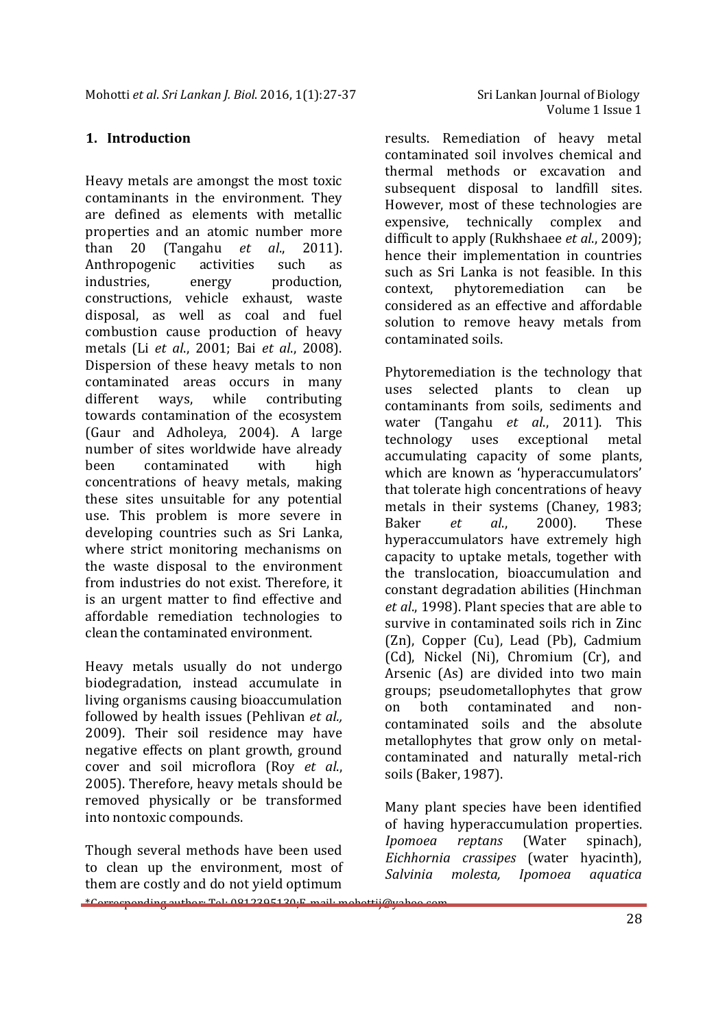## **1. Introduction**

Heavy metals are amongst the most toxic contaminants in the environment. They are defined as elements with metallic properties and an atomic number more than 20 (Tangahu *et al*., 2011). Anthropogenic activities such as industries, energy production, constructions, vehicle exhaust, waste disposal, as well as coal and fuel combustion cause production of heavy metals (Li *et al*., 2001; Bai *et al*., 2008). Dispersion of these heavy metals to non contaminated areas occurs in many different ways, while contributing towards contamination of the ecosystem (Gaur and Adholeya, 2004). A large number of sites worldwide have already been contaminated with high concentrations of heavy metals, making these sites unsuitable for any potential use. This problem is more severe in developing countries such as Sri Lanka, where strict monitoring mechanisms on the waste disposal to the environment from industries do not exist. Therefore, it is an urgent matter to find effective and affordable remediation technologies to clean the contaminated environment.

Heavy metals usually do not undergo biodegradation, instead accumulate in living organisms causing bioaccumulation followed by health issues (Pehlivan *et al.,*  2009). Their soil residence may have negative effects on plant growth, ground cover and soil microflora (Roy *et al*., 2005). Therefore, heavy metals should be removed physically or be transformed into nontoxic compounds.

\*Corresponding author: Tel: 0812395130;E-mail: mohottij@yahoo.com Though several methods have been used to clean up the environment, most of them are costly and do not yield optimum

results. Remediation of heavy metal contaminated soil involves chemical and thermal methods or excavation and subsequent disposal to landfill sites. However, most of these technologies are expensive, technically complex and difficult to apply (Rukhshaee *et al*., 2009); hence their implementation in countries such as Sri Lanka is not feasible. In this context, phytoremediation can be considered as an effective and affordable solution to remove heavy metals from contaminated soils.

Phytoremediation is the technology that uses selected plants to clean up contaminants from soils, sediments and water (Tangahu *et al*., 2011). This technology uses exceptional metal accumulating capacity of some plants, which are known as 'hyperaccumulators' that tolerate high concentrations of heavy metals in their systems (Chaney, 1983; Baker *et al*., 2000). These hyperaccumulators have extremely high capacity to uptake metals, together with the translocation, bioaccumulation and constant degradation abilities (Hinchman *et al*., 1998). Plant species that are able to survive in contaminated soils rich in Zinc (Zn), Copper (Cu), Lead (Pb), Cadmium (Cd), Nickel (Ni), Chromium (Cr), and Arsenic (As) are divided into two main groups; pseudometallophytes that grow on both contaminated and noncontaminated soils and the absolute metallophytes that grow only on metalcontaminated and naturally metal-rich soils (Baker, 1987).

Many plant species have been identified of having hyperaccumulation properties. *Ipomoea reptans* (Water spinach), *Eichhornia crassipes* (water hyacinth), *Salvinia molesta, Ipomoea aquatica*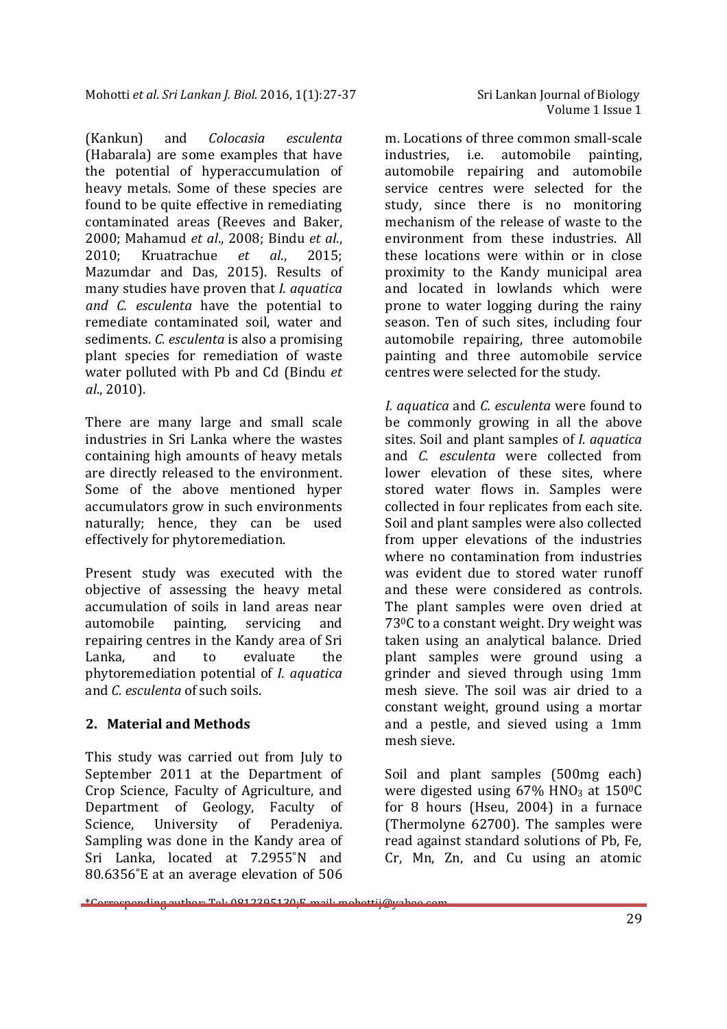(Kankun) and *Colocasia esculenta*  (Habarala) are some examples that have the potential of hyperaccumulation of heavy metals. Some of these species are found to be quite effective in remediating contaminated areas (Reeves and Baker, 2000; Mahamud *et al*., 2008; Bindu *et al*., 2010; Kruatrachue *et al*., 2015; Mazumdar and Das, 2015). Results of many studies have proven that *I. aquatica and C. esculenta* have the potential to remediate contaminated soil, water and sediments. *C. esculenta* is also a promising plant species for remediation of waste water polluted with Pb and Cd (Bindu *et al*., 2010).

There are many large and small scale industries in Sri Lanka where the wastes containing high amounts of heavy metals are directly released to the environment. Some of the above mentioned hyper accumulators grow in such environments naturally; hence, they can be used effectively for phytoremediation.

Present study was executed with the objective of assessing the heavy metal accumulation of soils in land areas near automobile painting, servicing and repairing centres in the Kandy area of Sri Lanka, and to evaluate the phytoremediation potential of *I. aquatica*  and *C. esculenta* of such soils.

## **2. Material and Methods**

This study was carried out from July to September 2011 at the Department of Crop Science, Faculty of Agriculture, and Department of Geology, Faculty of Science, University of Peradeniya. Sampling was done in the Kandy area of Sri Lanka, located at 7.2955˚N and 80.6356˚E at an average elevation of 506

m. Locations of three common small-scale industries, i.e. automobile painting, automobile repairing and automobile service centres were selected for the study, since there is no monitoring mechanism of the release of waste to the environment from these industries. All these locations were within or in close proximity to the Kandy municipal area and located in lowlands which were prone to water logging during the rainy season. Ten of such sites, including four automobile repairing, three automobile painting and three automobile service centres were selected for the study.

*I. aquatica* and *C. esculenta* were found to be commonly growing in all the above sites. Soil and plant samples of *I. aquatica*  and *C. esculenta* were collected from lower elevation of these sites, where stored water flows in. Samples were collected in four replicates from each site. Soil and plant samples were also collected from upper elevations of the industries where no contamination from industries was evident due to stored water runoff and these were considered as controls. The plant samples were oven dried at 73<sup>0</sup>C to a constant weight. Dry weight was taken using an analytical balance. Dried plant samples were ground using a grinder and sieved through using 1mm mesh sieve. The soil was air dried to a constant weight, ground using a mortar and a pestle, and sieved using a 1mm mesh sieve.

Soil and plant samples (500mg each) were digested using  $67\%$  HNO<sub>3</sub> at  $150\degree$ C for 8 hours (Hseu, 2004) in a furnace (Thermolyne 62700). The samples were read against standard solutions of Pb, Fe, Cr, Mn, Zn, and Cu using an atomic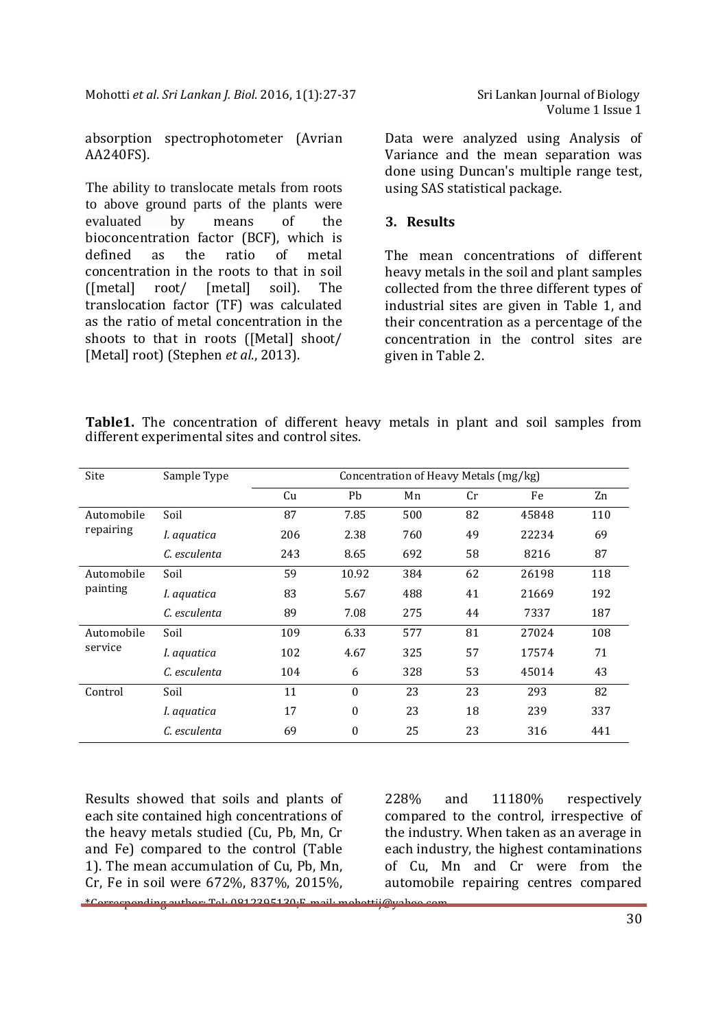absorption spectrophotometer (Avrian AA240FS).

The ability to translocate metals from roots to above ground parts of the plants were evaluated by means of the bioconcentration factor (BCF), which is defined as the ratio of metal concentration in the roots to that in soil ([metal] root/ [metal] soil). The translocation factor (TF) was calculated as the ratio of metal concentration in the shoots to that in roots ([Metal] shoot/ [Metal] root) (Stephen *et al*., 2013).

Data were analyzed using Analysis of Variance and the mean separation was done using Duncan's multiple range test, using SAS statistical package.

### **3. Results**

The mean concentrations of different heavy metals in the soil and plant samples collected from the three different types of industrial sites are given in Table 1, and their concentration as a percentage of the concentration in the control sites are given in Table 2.

|  | <b>Table1.</b> The concentration of different heavy metals in plant and soil samples from |  |  |  |  |  |
|--|-------------------------------------------------------------------------------------------|--|--|--|--|--|
|  | different experimental sites and control sites.                                           |  |  |  |  |  |

| Site                   | Sample Type  | Concentration of Heavy Metals (mg/kg) |                  |     |    |       |     |  |  |
|------------------------|--------------|---------------------------------------|------------------|-----|----|-------|-----|--|--|
|                        |              | Cu                                    | Pb               | Mn  | Cr | Fe    | Zn  |  |  |
| Automobile             | Soil         | 87                                    | 7.85             | 500 | 82 | 45848 | 110 |  |  |
| repairing              | I. aquatica  | 206                                   | 2.38             | 760 | 49 | 22234 | 69  |  |  |
|                        | C. esculenta | 243                                   | 8.65             | 692 | 58 | 8216  | 87  |  |  |
| Automobile<br>painting | Soil         | 59                                    | 10.92            | 384 | 62 | 26198 | 118 |  |  |
|                        | I. aquatica  | 83                                    | 5.67             | 488 | 41 | 21669 | 192 |  |  |
|                        | C. esculenta | 89                                    | 7.08             | 275 | 44 | 7337  | 187 |  |  |
| Automobile<br>service  | Soil         | 109                                   | 6.33             | 577 | 81 | 27024 | 108 |  |  |
|                        | I. aquatica  | 102                                   | 4.67             | 325 | 57 | 17574 | 71  |  |  |
|                        | C. esculenta | 104                                   | 6                | 328 | 53 | 45014 | 43  |  |  |
| Control                | Soil         | 11                                    | $\Omega$         | 23  | 23 | 293   | 82  |  |  |
|                        | I. aquatica  | 17                                    | $\theta$         | 23  | 18 | 239   | 337 |  |  |
|                        | C. esculenta | 69                                    | $\boldsymbol{0}$ | 25  | 23 | 316   | 441 |  |  |

Results showed that soils and plants of each site contained high concentrations of the heavy metals studied (Cu, Pb, Mn, Cr and Fe) compared to the control (Table 1). The mean accumulation of Cu, Pb, Mn, Cr, Fe in soil were 672%, 837%, 2015%,

\*Corresponding author: Tel: 0812395130;E-mail: mohottij@yahoo.com

228% and 11180% respectively compared to the control, irrespective of the industry. When taken as an average in each industry, the highest contaminations of Cu, Mn and Cr were from the automobile repairing centres compared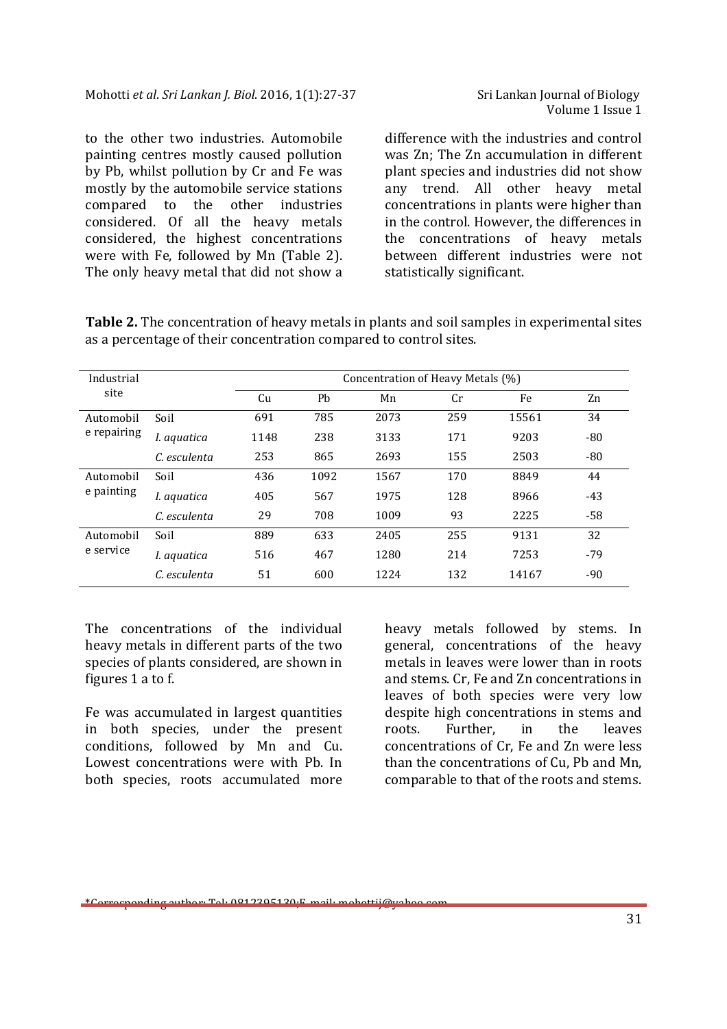to the other two industries. Automobile painting centres mostly caused pollution by Pb, whilst pollution by Cr and Fe was mostly by the automobile service stations compared to the other industries considered. Of all the heavy metals considered, the highest concentrations were with Fe, followed by Mn (Table 2). The only heavy metal that did not show a

difference with the industries and control was Zn; The Zn accumulation in different plant species and industries did not show any trend. All other heavy metal concentrations in plants were higher than in the control. However, the differences in the concentrations of heavy metals between different industries were not statistically significant.

**Table 2.** The concentration of heavy metals in plants and soil samples in experimental sites as a percentage of their concentration compared to control sites.

| Industrial               |              | Concentration of Heavy Metals (%) |      |      |     |       |       |  |  |  |
|--------------------------|--------------|-----------------------------------|------|------|-----|-------|-------|--|--|--|
| site                     |              | Cu                                | Pb   | Mn   | Cr  | Fe    | Zn    |  |  |  |
| Automobil<br>e repairing | Soil         | 691                               | 785  | 2073 | 259 | 15561 | 34    |  |  |  |
|                          | I. aquatica  | 1148                              | 238  | 3133 | 171 | 9203  | $-80$ |  |  |  |
|                          | C. esculenta | 253                               | 865  | 2693 | 155 | 2503  | $-80$ |  |  |  |
| Automobil<br>e painting  | Soil         | 436                               | 1092 | 1567 | 170 | 8849  | 44    |  |  |  |
|                          | I. aquatica  | 405                               | 567  | 1975 | 128 | 8966  | $-43$ |  |  |  |
|                          | C. esculenta | 29                                | 708  | 1009 | 93  | 2225  | $-58$ |  |  |  |
| Automobil<br>e service   | Soil         | 889                               | 633  | 2405 | 255 | 9131  | 32    |  |  |  |
|                          | I. aquatica  | 516                               | 467  | 1280 | 214 | 7253  | $-79$ |  |  |  |
|                          | C. esculenta | 51                                | 600  | 1224 | 132 | 14167 | $-90$ |  |  |  |

The concentrations of the individual heavy metals in different parts of the two species of plants considered, are shown in figures 1 a to f.

Fe was accumulated in largest quantities in both species, under the present conditions, followed by Mn and Cu. Lowest concentrations were with Pb. In both species, roots accumulated more

heavy metals followed by stems. In general, concentrations of the heavy metals in leaves were lower than in roots and stems. Cr, Fe and Zn concentrations in leaves of both species were very low despite high concentrations in stems and roots. Further, in the leaves concentrations of Cr, Fe and Zn were less than the concentrations of Cu, Pb and Mn, comparable to that of the roots and stems.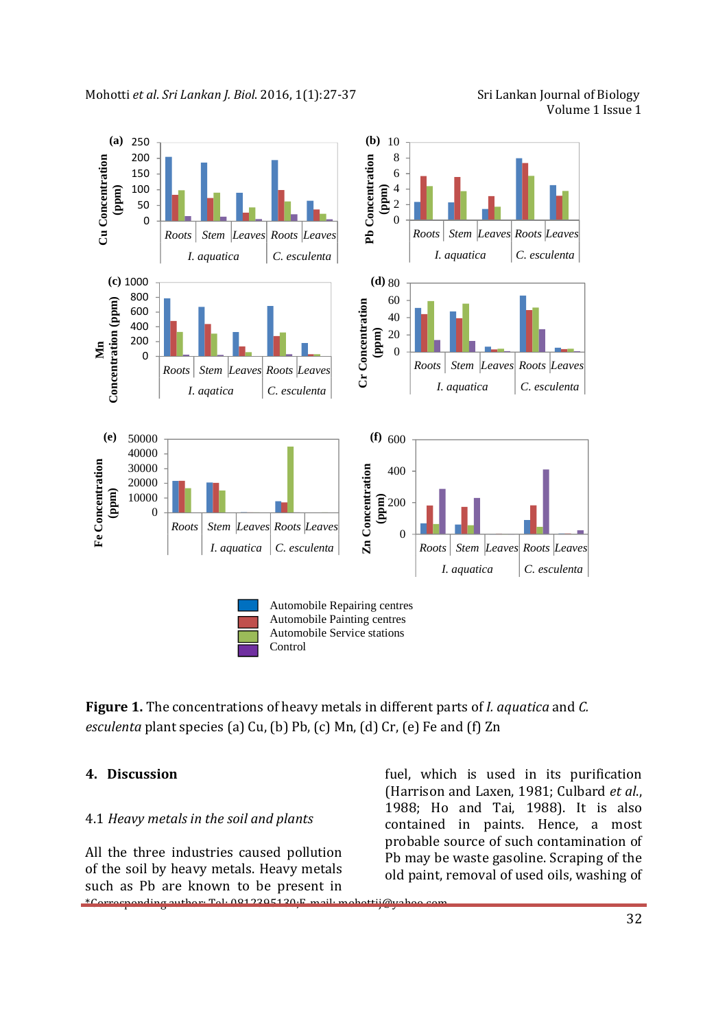Volume 1 Issue 1



**Figure 1.** The concentrations of heavy metals in different parts of *I. aquatica* and *C. esculenta* plant species (a) Cu, (b) Pb, (c) Mn, (d) Cr, (e) Fe and (f) Zn

#### **4. Discussion**

#### 4.1 *Heavy metals in the soil and plants*

\*Corresponding author: Tel: 0812395130;E-mail: mohottij@yahoo.com All the three industries caused pollution of the soil by heavy metals. Heavy metals such as Pb are known to be present in

fuel, which is used in its purification (Harrison and Laxen, 1981; Culbard *et al*., 1988; Ho and Tai, 1988). It is also contained in paints. Hence, a most probable source of such contamination of Pb may be waste gasoline. Scraping of the old paint, removal of used oils, washing of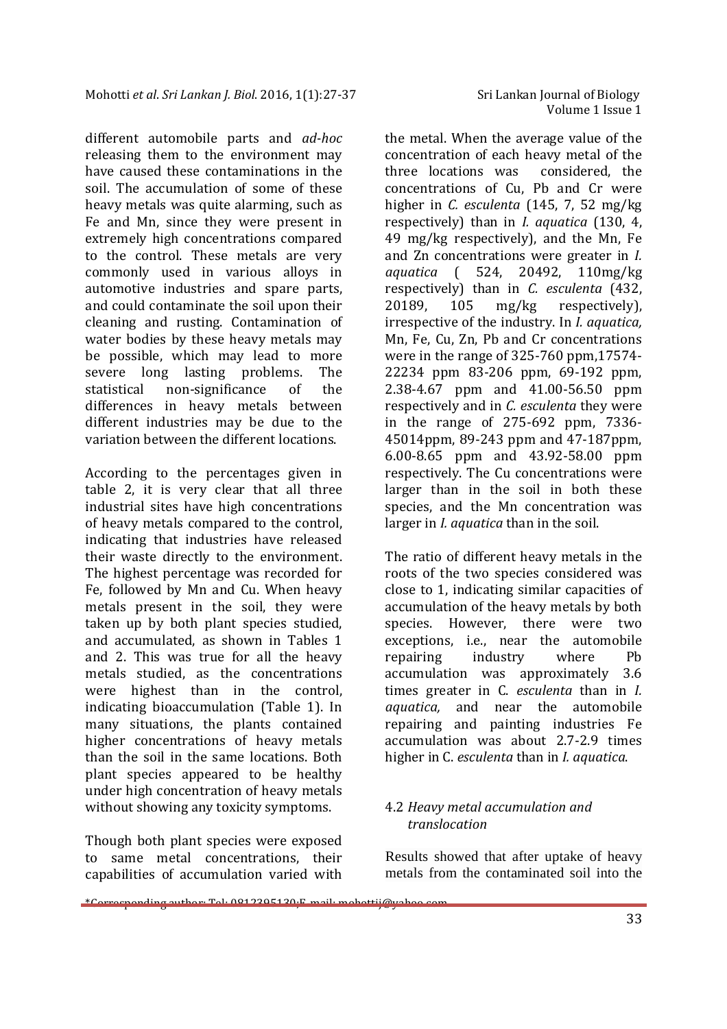different automobile parts and *ad-hoc* releasing them to the environment may have caused these contaminations in the soil. The accumulation of some of these heavy metals was quite alarming, such as Fe and Mn, since they were present in extremely high concentrations compared to the control. These metals are very commonly used in various alloys in automotive industries and spare parts, and could contaminate the soil upon their cleaning and rusting. Contamination of water bodies by these heavy metals may be possible, which may lead to more severe long lasting problems. The statistical non-significance of the differences in heavy metals between different industries may be due to the variation between the different locations.

According to the percentages given in table 2, it is very clear that all three industrial sites have high concentrations of heavy metals compared to the control, indicating that industries have released their waste directly to the environment. The highest percentage was recorded for Fe, followed by Mn and Cu. When heavy metals present in the soil, they were taken up by both plant species studied, and accumulated, as shown in Tables 1 and 2. This was true for all the heavy metals studied, as the concentrations were highest than in the control, indicating bioaccumulation (Table 1). In many situations, the plants contained higher concentrations of heavy metals than the soil in the same locations. Both plant species appeared to be healthy under high concentration of heavy metals without showing any toxicity symptoms.

Though both plant species were exposed to same metal concentrations, their capabilities of accumulation varied with the metal. When the average value of the concentration of each heavy metal of the three locations was considered, the concentrations of Cu, Pb and Cr were higher in *C. esculenta* (145, 7, 52 mg/kg respectively) than in *I. aquatica* (130, 4, 49 mg/kg respectively), and the Mn, Fe and Zn concentrations were greater in *I. aquatica* ( 524, 20492, 110mg/kg respectively) than in *C. esculenta* (432, 20189, 105 mg/kg respectively), irrespective of the industry. In *I. aquatica,*  Mn, Fe, Cu, Zn, Pb and Cr concentrations were in the range of 325-760 ppm,17574- 22234 ppm 83-206 ppm, 69-192 ppm, 2.38-4.67 ppm and 41.00-56.50 ppm respectively and in *C. esculenta* they were in the range of 275-692 ppm, 7336- 45014ppm, 89-243 ppm and 47-187ppm, 6.00-8.65 ppm and 43.92-58.00 ppm respectively. The Cu concentrations were larger than in the soil in both these species, and the Mn concentration was larger in *I. aquatica* than in the soil.

The ratio of different heavy metals in the roots of the two species considered was close to 1, indicating similar capacities of accumulation of the heavy metals by both species. However, there were two exceptions, i.e., near the automobile repairing industry where Pb accumulation was approximately 3.6 times greater in C. *esculenta* than in *I. aquatica,* and near the automobile repairing and painting industries Fe accumulation was about 2.7-2.9 times higher in C. *esculenta* than in *I. aquatica*.

## 4.2 *Heavy metal accumulation and translocation*

Results showed that after uptake of heavy metals from the contaminated soil into the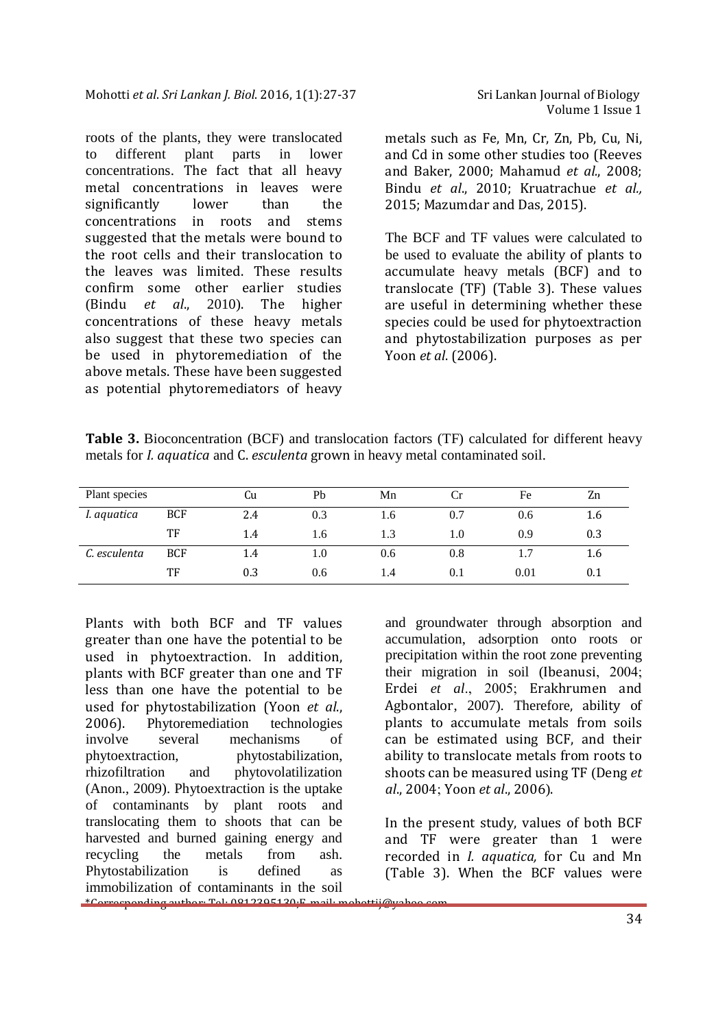roots of the plants, they were translocated to different plant parts in lower concentrations. The fact that all heavy metal concentrations in leaves were significantly lower than the concentrations in roots and stems suggested that the metals were bound to the root cells and their translocation to the leaves was limited. These results confirm some other earlier studies (Bindu *et al*., 2010). The higher concentrations of these heavy metals also suggest that these two species can be used in phytoremediation of the above metals. These have been suggested as potential phytoremediators of heavy Volume 1 Issue 1

metals such as Fe, Mn, Cr, Zn, Pb, Cu, Ni, and Cd in some other studies too (Reeves and Baker, 2000; Mahamud *et al.*, 2008; Bindu *et al*., 2010; Kruatrachue *et al.,* 2015; Mazumdar and Das, 2015).

The BCF and TF values were calculated to be used to evaluate the ability of plants to accumulate heavy metals (BCF) and to translocate (TF) (Table 3). These values are useful in determining whether these species could be used for phytoextraction and phytostabilization purposes as per Yoon *et al*. (2006).

**Table 3.** Bioconcentration (BCF) and translocation factors (TF) calculated for different heavy metals for *I. aquatica* and C. *esculenta* grown in heavy metal contaminated soil.

| Plant species |            | Cu  | Pb  | Mn  | U       | Fe   | Zn  |
|---------------|------------|-----|-----|-----|---------|------|-----|
| I. aquatica   | <b>BCF</b> | 2.4 | 0.3 | 1.6 | 0.7     | 0.6  | 1.6 |
|               | TF         | 1.4 | 1.6 | 1.3 | $1.0\,$ | 0.9  | 0.3 |
| C. esculenta  | <b>BCF</b> | 1.4 | 1.0 | 0.6 | 0.8     |      | 1.6 |
|               | TF         | 0.3 | 0.6 | 1.4 | 0.1     | 0.01 | 0.1 |

\*Corresponding author: Tel: 0812395130;E-mail: mohottij@yahoo.com Plants with both BCF and TF values greater than one have the potential to be used in phytoextraction. In addition, plants with BCF greater than one and TF less than one have the potential to be used for phytostabilization (Yoon *et al*., 2006). Phytoremediation technologies involve several mechanisms of phytoextraction, phytostabilization, rhizofiltration and phytovolatilization (Anon., 2009). Phytoextraction is the uptake of contaminants by plant roots and translocating them to shoots that can be harvested and burned gaining energy and recycling the metals from ash. Phytostabilization is defined as immobilization of contaminants in the soil

and groundwater through absorption and accumulation, adsorption onto roots or precipitation within the root zone preventing their migration in soil (Ibeanusi, 2004; Erdei *et al*., 2005; Erakhrumen and Agbontalor, 2007). Therefore, ability of plants to accumulate metals from soils can be estimated using BCF, and their ability to translocate metals from roots to shoots can be measured using TF (Deng *et al*., 2004; Yoon *et al*., 2006).

In the present study, values of both BCF and TF were greater than 1 were recorded in *I. aquatica,* for Cu and Mn (Table 3). When the BCF values were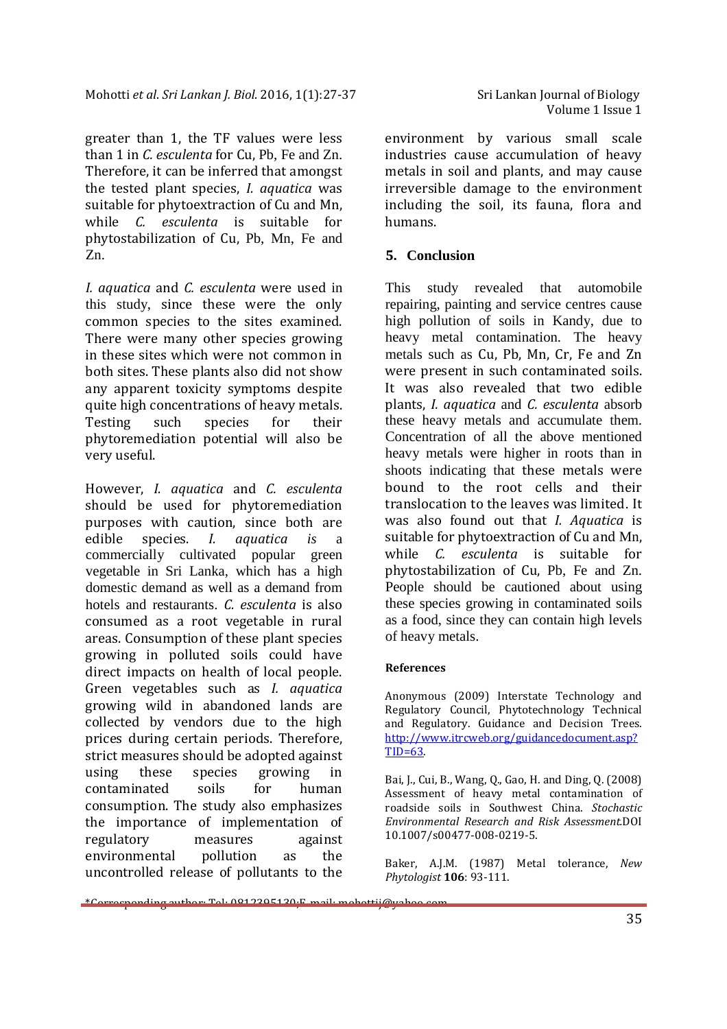greater than 1, the TF values were less than 1 in *C. esculenta* for Cu, Pb, Fe and Zn. Therefore, it can be inferred that amongst the tested plant species, *I. aquatica* was suitable for phytoextraction of Cu and Mn, while *C. esculenta* is suitable for phytostabilization of Cu, Pb, Mn, Fe and Zn.

*I. aquatica* and *C. esculenta* were used in this study, since these were the only common species to the sites examined. There were many other species growing in these sites which were not common in both sites. These plants also did not show any apparent toxicity symptoms despite quite high concentrations of heavy metals. Testing such species for their phytoremediation potential will also be very useful.

However, *I. aquatica* and *C. esculenta*  should be used for phytoremediation purposes with caution, since both are edible species. *I. aquatica is* a commercially cultivated popular green vegetable in Sri Lanka, which has a high domestic demand as well as a demand from hotels and restaurants. *C. esculenta* is also consumed as a root vegetable in rural areas. Consumption of these plant species growing in polluted soils could have direct impacts on health of local people. Green vegetables such as *I. aquatica*  growing wild in abandoned lands are collected by vendors due to the high prices during certain periods. Therefore, strict measures should be adopted against using these species growing in contaminated soils for human consumption. The study also emphasizes the importance of implementation of regulatory measures against environmental pollution as the uncontrolled release of pollutants to the

environment by various small scale industries cause accumulation of heavy metals in soil and plants, and may cause irreversible damage to the environment including the soil, its fauna, flora and humans.

## **5. Conclusion**

This study revealed that automobile repairing, painting and service centres cause high pollution of soils in Kandy, due to heavy metal contamination. The heavy metals such as Cu, Pb, Mn, Cr, Fe and Zn were present in such contaminated soils. It was also revealed that two edible plants, *I. aquatica* and *C. esculenta* absorb these heavy metals and accumulate them. Concentration of all the above mentioned heavy metals were higher in roots than in shoots indicating that these metals were bound to the root cells and their translocation to the leaves was limited. It was also found out that *I. Aquatica* is suitable for phytoextraction of Cu and Mn, while *C. esculenta* is suitable for phytostabilization of Cu, Pb, Fe and Zn. People should be cautioned about using these species growing in contaminated soils as a food, since they can contain high levels of heavy metals.

#### **References**

Anonymous (2009) Interstate Technology and Regulatory Council, Phytotechnology Technical and Regulatory. Guidance and Decision Trees. http://www.itrcweb.org/guidancedocument.asp?  $TID=63$ .

Bai, J., Cui, B., Wang, Q., Gao, H. and Ding, Q. (2008) Assessment of heavy metal contamination of roadside soils in Southwest China. *Stochastic Environmental Research and Risk Assessment.*DOI 10.1007/s00477-008-0219-5.

Baker, A.J.M. (1987) Metal tolerance, *New Phytologist* **106**: 93-111.

```
*Corresponding author: Tel: 0812395130;E-mail: mohottij@yahoo.com
```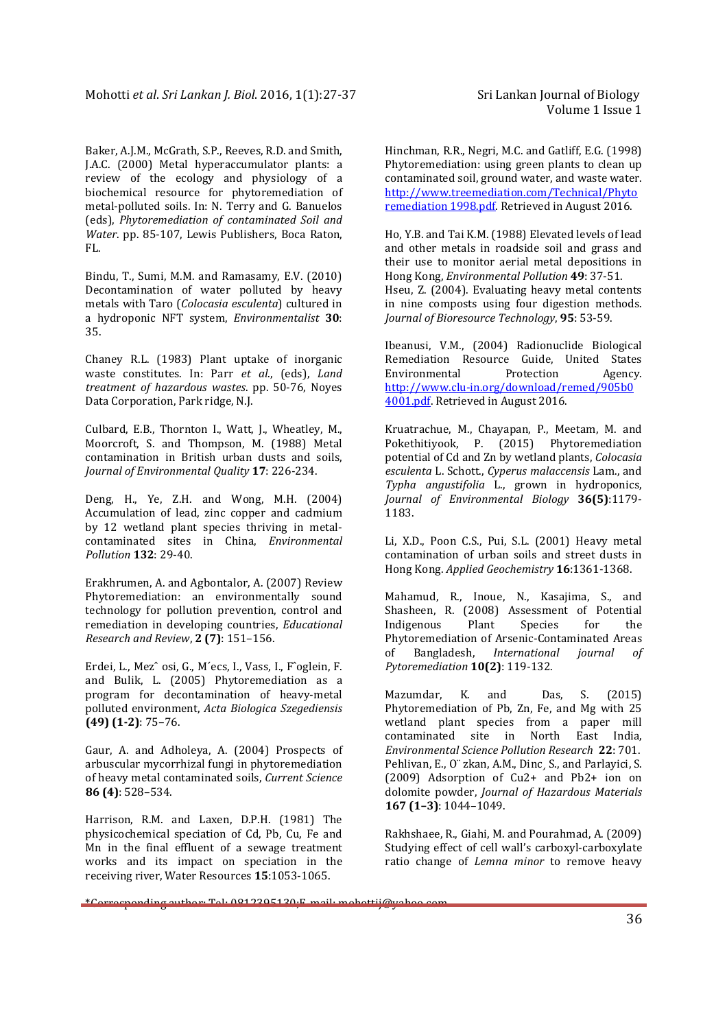Baker, A.J.M., McGrath, S.P., Reeves, R.D. and Smith, J.A.C. (2000) Metal hyperaccumulator plants: a review of the ecology and physiology of a biochemical resource for phytoremediation of metal-polluted soils. In: N. Terry and G. Banuelos (eds), *Phytoremediation of contaminated Soil and Water*. pp. 85-107, Lewis Publishers, Boca Raton, FL.

Bindu, T., Sumi, M.M. and Ramasamy, E.V. (2010) Decontamination of water polluted by heavy metals with Taro (*Colocasia esculenta*) cultured in a hydroponic NFT system, *Environmentalist* **30**: 35.

Chaney R.L. (1983) Plant uptake of inorganic waste constitutes. In: Parr *et al*., (eds), *Land treatment of hazardous wastes*. pp. 50-76, Noyes Data Corporation, Park ridge, N.J.

Culbard, E.B., Thornton I., Watt, J., Wheatley, M., Moorcroft, S. and Thompson, M. (1988) Metal contamination in British urban dusts and soils, *Journal of Environmental Quality* **17**: 226-234.

Deng, H., Ye, Z.H. and Wong, M.H. (2004) Accumulation of lead, zinc copper and cadmium by 12 wetland plant species thriving in metalcontaminated sites in China, *Environmental Pollution* **132**: 29-40.

Erakhrumen, A. and Agbontalor, A. (2007) Review Phytoremediation: an environmentally sound technology for pollution prevention, control and remediation in developing countries, *Educational Research and Review*, **2 (7)**: 151–156.

Erdei, L., Mezˆ osi, G., M´ecs, I., Vass, I., Fˆoglein, F. and Bulik, L. (2005) Phytoremediation as a program for decontamination of heavy-metal polluted environment, *Acta Biologica Szegediensis*  **(49) (1-2)**: 75–76.

Gaur, A. and Adholeya, A. (2004) Prospects of arbuscular mycorrhizal fungi in phytoremediation of heavy metal contaminated soils, *Current Science*  **86 (4)**: 528–534.

Harrison, R.M. and Laxen, D.P.H. (1981) The physicochemical speciation of Cd, Pb, Cu, Fe and Mn in the final effluent of a sewage treatment works and its impact on speciation in the receiving river, Water Resources **15**:1053-1065.

Hinchman, R.R., Negri, M.C. and Gatliff, E.G. (1998) Phytoremediation: using green plants to clean up contaminated soil, ground water, and waste water. http://www.treemediation.com/Technical/Phyto remediation 1998.pdf. Retrieved in August 2016.

Ho, Y.B. and Tai K.M. (1988) Elevated levels of lead and other metals in roadside soil and grass and their use to monitor aerial metal depositions in Hong Kong, *Environmental Pollution* **49**: 37-51. Hseu, Z. (2004). Evaluating heavy metal contents in nine composts using four digestion methods. *Journal of Bioresource Technology*, **95**: 53-59.

Ibeanusi, V.M., (2004) Radionuclide Biological Remediation Resource Guide, United States Environmental Protection Agency. http://www.clu-in.org/download/remed/905b0 4001.pdf. Retrieved in August 2016.

Kruatrachue, M., Chayapan, P., Meetam, M. and Pokethitiyook, P. (2015) Phytoremediation potential of Cd and Zn by wetland plants, *Colocasia esculenta* L. Schott., *Cyperus malaccensis* Lam., and *Typha angustifolia* L., grown in hydroponics, *Journal of Environmental Biology* **36(5)**:1179- 1183.

Li, X.D., Poon C.S., Pui, S.L. (2001) Heavy metal contamination of urban soils and street dusts in Hong Kong. *Applied Geochemistry* **16**:1361-1368.

Mahamud, R., Inoue, N., Kasajima, S., and Shasheen, R. (2008) Assessment of Potential Indigenous Plant Species for the Phytoremediation of Arsenic-Contaminated Areas of Bangladesh, *International journal of Pytoremediation* **10(2)**: 119-132.

Mazumdar, K. and Das, S. (2015) Phytoremediation of Pb, Zn, Fe, and Mg with 25 wetland plant species from a paper mill contaminated site in North East India, *Environmental Science Pollution Research* **22**: 701. Pehlivan, E., O¨ zkan, A.M., Dinc¸ S., and Parlayici, S. (2009) Adsorption of Cu2+ and Pb2+ ion on dolomite powder, *Journal of Hazardous Materials*  **167 (1–3)**: 1044–1049.

Rakhshaee, R., Giahi, M. and Pourahmad, A. (2009) Studying effect of cell wall's carboxyl-carboxylate ratio change of *Lemna minor* to remove heavy

```
*Corresponding author: Tel: 0812395130;E-mail: mohottij@yahoo.com
```